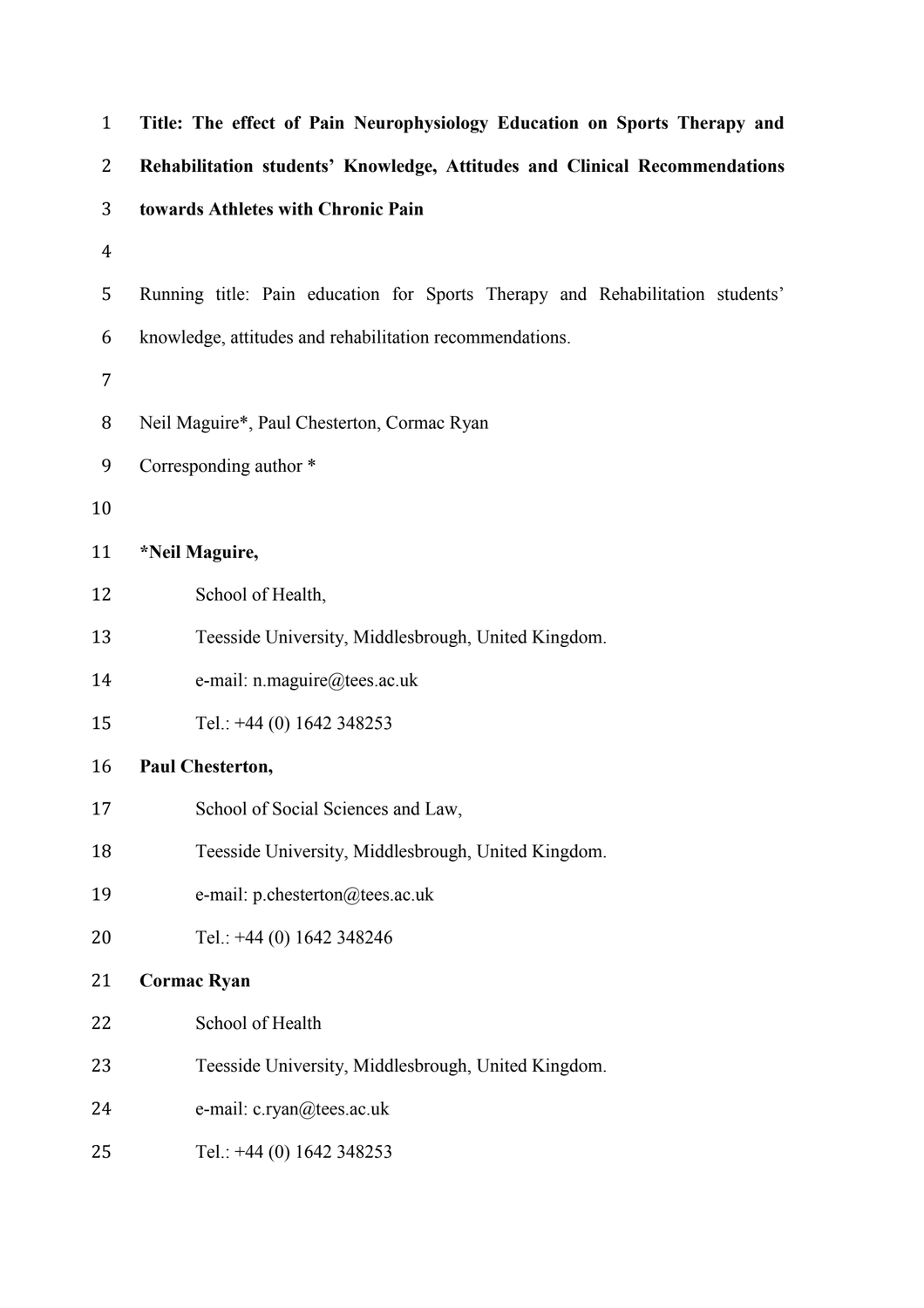| $\mathbf{1}$   | Title: The effect of Pain Neurophysiology Education on Sports Therapy and     |
|----------------|-------------------------------------------------------------------------------|
| 2              | Rehabilitation students' Knowledge, Attitudes and Clinical Recommendations    |
| 3              | towards Athletes with Chronic Pain                                            |
| $\overline{4}$ |                                                                               |
| 5              | Running title: Pain education for Sports Therapy and Rehabilitation students' |
| 6              | knowledge, attitudes and rehabilitation recommendations.                      |
| 7              |                                                                               |
| 8              | Neil Maguire*, Paul Chesterton, Cormac Ryan                                   |
| 9              | Corresponding author *                                                        |
| 10             |                                                                               |
| 11             | *Neil Maguire,                                                                |
| 12             | School of Health,                                                             |
| 13             | Teesside University, Middlesbrough, United Kingdom.                           |
| 14             | e-mail: n.maguire@tees.ac.uk                                                  |
| 15             | Tel.: +44 (0) 1642 348253                                                     |
| 16             | Paul Chesterton,                                                              |
| 17             | School of Social Sciences and Law,                                            |
| 18             | Teesside University, Middlesbrough, United Kingdom.                           |
| 19             | e-mail: p.chesterton@tees.ac.uk                                               |
| 20             | Tel.: +44 (0) 1642 348246                                                     |
| 21             | <b>Cormac Ryan</b>                                                            |
| 22             | School of Health                                                              |
| 23             | Teesside University, Middlesbrough, United Kingdom.                           |
| 24             | e-mail: c.ryan@tees.ac.uk                                                     |
| 25             | Tel.: +44 (0) 1642 348253                                                     |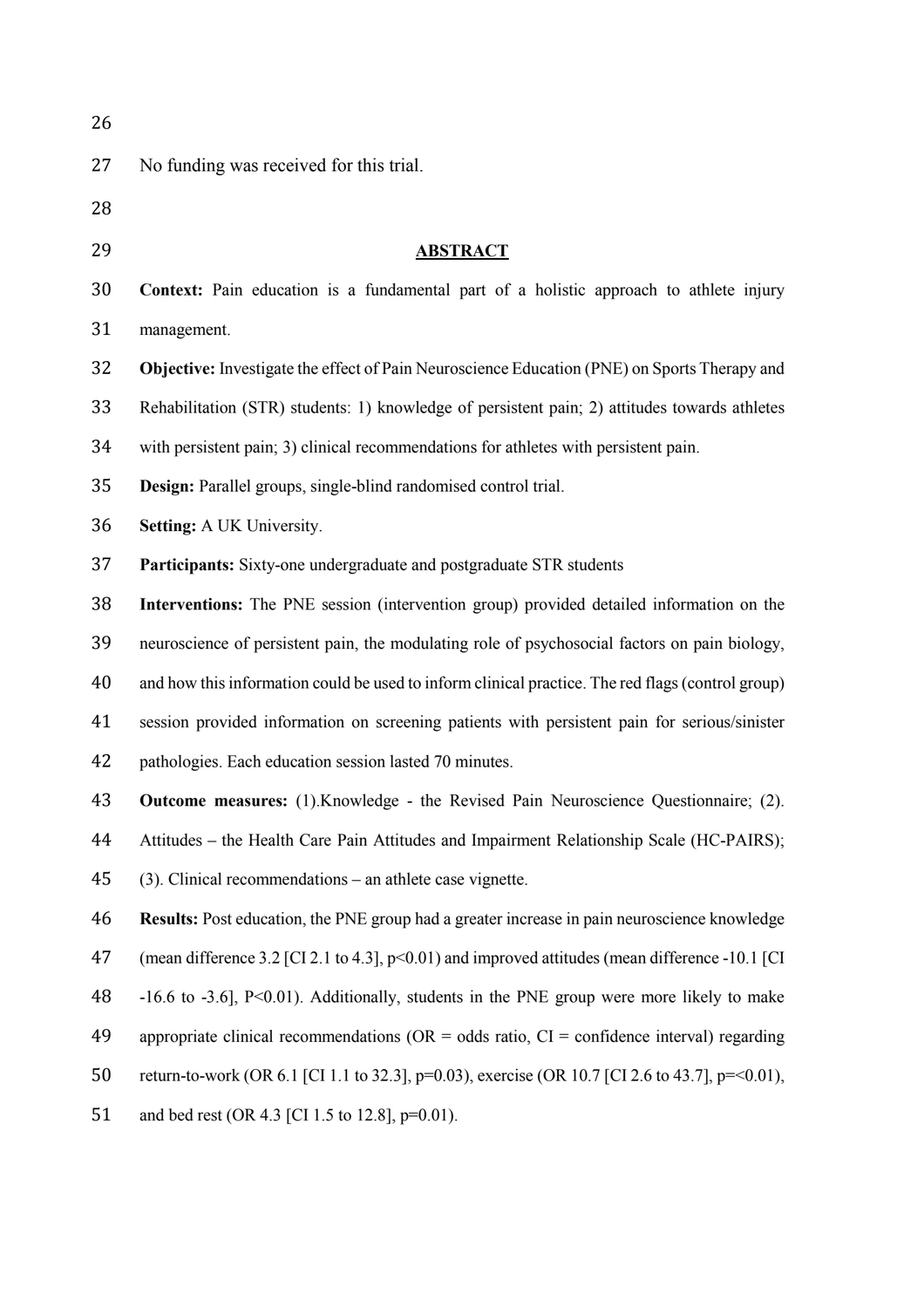| 26 |                                                                                                     |
|----|-----------------------------------------------------------------------------------------------------|
| 27 | No funding was received for this trial.                                                             |
| 28 |                                                                                                     |
| 29 | <b>ABSTRACT</b>                                                                                     |
| 30 | <b>Context:</b> Pain education is a fundamental part of a holistic approach to athlete injury       |
| 31 | management.                                                                                         |
| 32 | Objective: Investigate the effect of Pain Neuroscience Education (PNE) on Sports Therapy and        |
| 33 | Rehabilitation (STR) students: 1) knowledge of persistent pain; 2) attitudes towards athletes       |
| 34 | with persistent pain; 3) clinical recommendations for athletes with persistent pain.                |
| 35 | Design: Parallel groups, single-blind randomised control trial.                                     |
| 36 | <b>Setting:</b> A UK University.                                                                    |
| 37 | Participants: Sixty-one undergraduate and postgraduate STR students                                 |
| 38 | Interventions: The PNE session (intervention group) provided detailed information on the            |
| 39 | neuroscience of persistent pain, the modulating role of psychosocial factors on pain biology,       |
| 40 | and how this information could be used to inform clinical practice. The red flags (control group)   |
| 41 | session provided information on screening patients with persistent pain for serious/sinister        |
| 42 | pathologies. Each education session lasted 70 minutes.                                              |
| 43 | <b>Outcome measures:</b> (1). Knowledge - the Revised Pain Neuroscience Questionnaire; (2).         |
| 44 | Attitudes – the Health Care Pain Attitudes and Impairment Relationship Scale (HC-PAIRS);            |
| 45 | (3). Clinical recommendations – an athlete case vignette.                                           |
| 46 | <b>Results:</b> Post education, the PNE group had a greater increase in pain neuroscience knowledge |
| 47 | (mean difference 3.2 [CI 2.1 to 4.3], p<0.01) and improved attitudes (mean difference -10.1 [CI     |
| 48 | $-16.6$ to $-3.6$ ], $P<0.01$ ). Additionally, students in the PNE group were more likely to make   |
| 49 | appropriate clinical recommendations ( $OR = odds$ ratio, $CI = confidence$ interval) regarding     |
| 50 | return-to-work (OR 6.1 [CI 1.1 to 32.3], p=0.03), exercise (OR 10.7 [CI 2.6 to 43.7], p=<0.01),     |
| 51 | and bed rest (OR 4.3 [CI 1.5 to 12.8], p=0.01).                                                     |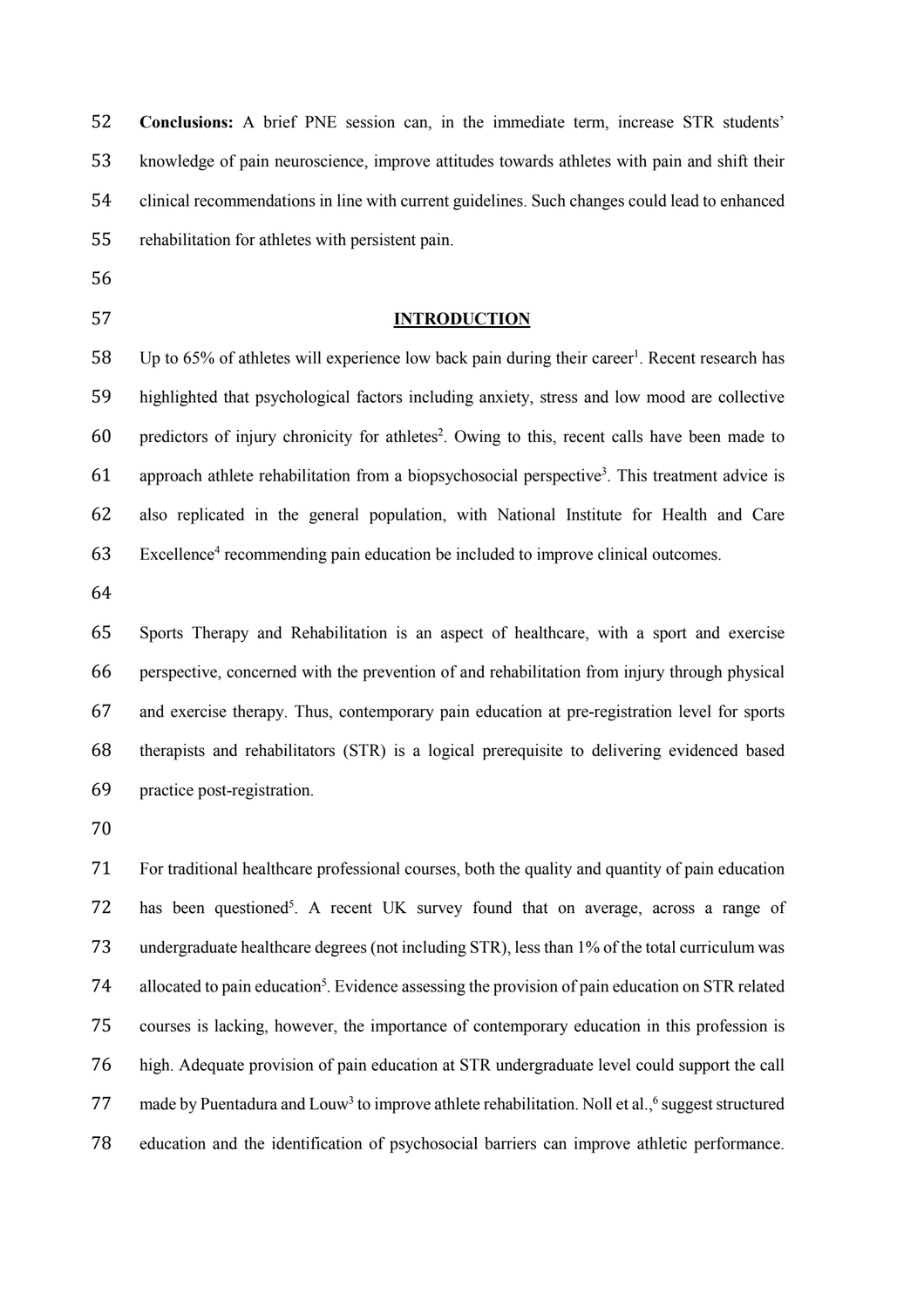| 52 | Conclusions: A brief PNE session can, in the immediate term, increase STR students'                        |
|----|------------------------------------------------------------------------------------------------------------|
| 53 | knowledge of pain neuroscience, improve attitudes towards athletes with pain and shift their               |
| 54 | clinical recommendations in line with current guidelines. Such changes could lead to enhanced              |
| 55 | rehabilitation for athletes with persistent pain.                                                          |
| 56 |                                                                                                            |
| 57 | <b>INTRODUCTION</b>                                                                                        |
| 58 | Up to 65% of athletes will experience low back pain during their career <sup>1</sup> . Recent research has |
| 59 | highlighted that psychological factors including anxiety, stress and low mood are collective               |
| 60 | predictors of injury chronicity for athletes <sup>2</sup> . Owing to this, recent calls have been made to  |
| 61 | approach athlete rehabilitation from a biopsychosocial perspective <sup>3</sup> . This treatment advice is |
| 62 | also replicated in the general population, with National Institute for Health and Care                     |
| 63 | Excellence <sup>4</sup> recommending pain education be included to improve clinical outcomes.              |
| 64 |                                                                                                            |
| 65 | Sports Therapy and Rehabilitation is an aspect of healthcare, with a sport and exercise                    |
| 66 | perspective, concerned with the prevention of and rehabilitation from injury through physical              |
| 67 | and exercise therapy. Thus, contemporary pain education at pre-registration level for sports               |
| 68 | therapists and rehabilitators (STR) is a logical prerequisite to delivering evidenced based                |
| 69 | practice post-registration.                                                                                |
| 70 |                                                                                                            |
| 71 | For traditional healthcare professional courses, both the quality and quantity of pain education           |
| -- | and the second control of the second                                                                       |

72 has been questioned<sup>5</sup>. A recent UK survey found that on average, across a range of undergraduate healthcare degrees (not including STR), less than 1% of the total curriculum was 74 allocated to pain education<sup>5</sup>. Evidence assessing the provision of pain education on STR related courses is lacking, however, the importance of contemporary education in this profession is high. Adequate provision of pain education at STR undergraduate level could support the call 77 made by Puentadura and Louw<sup>3</sup> to improve athlete rehabilitation. Noll et al.,<sup>6</sup> suggest structured education and the identification of psychosocial barriers can improve athletic performance.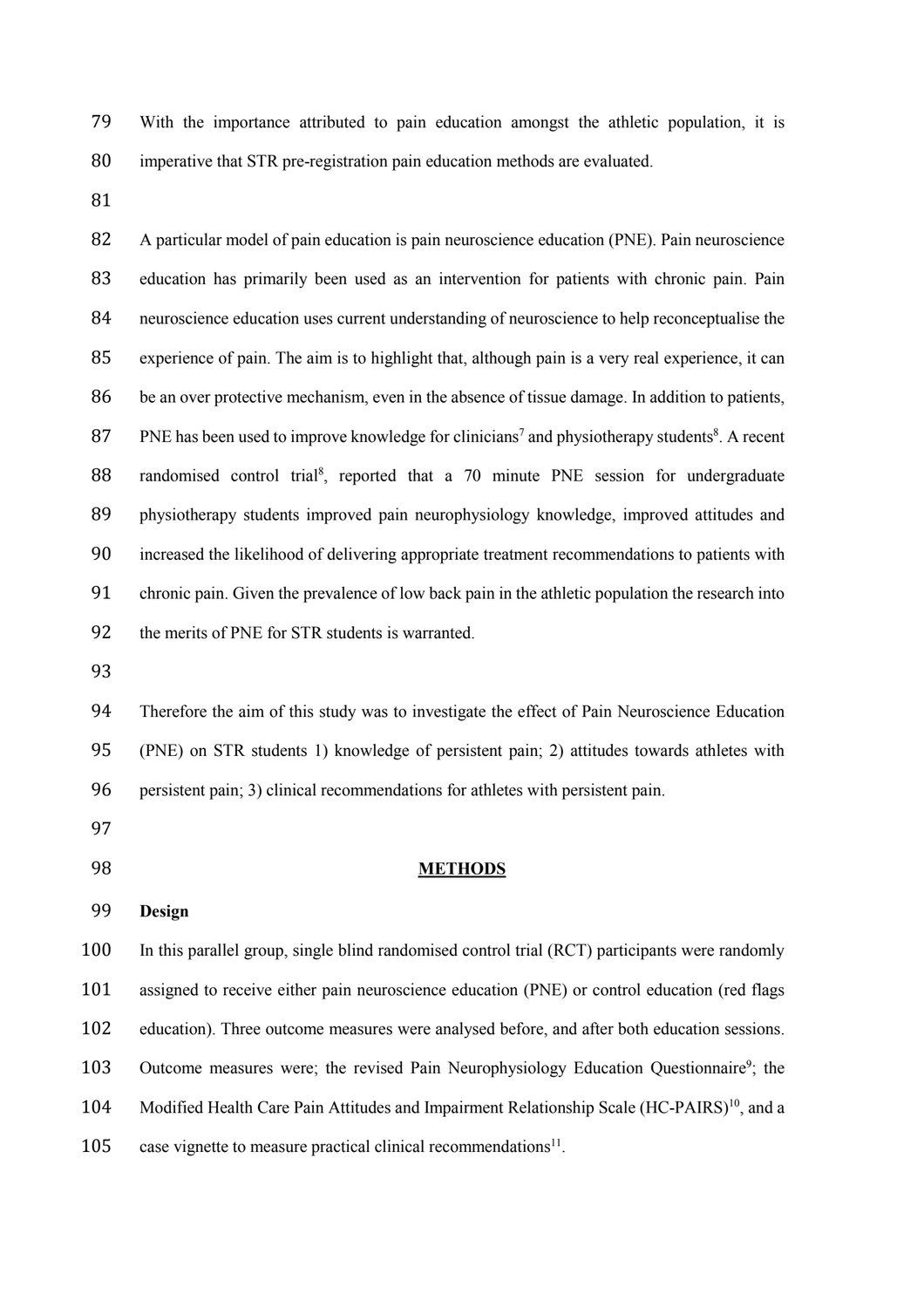With the importance attributed to pain education amongst the athletic population, it is imperative that STR pre-registration pain education methods are evaluated.

 A particular model of pain education is pain neuroscience education (PNE). Pain neuroscience education has primarily been used as an intervention for patients with chronic pain. Pain neuroscience education uses current understanding of neuroscience to help reconceptualise the experience of pain. The aim is to highlight that, although pain is a very real experience, it can be an over protective mechanism, even in the absence of tissue damage. In addition to patients, 87 PNE has been used to improve knowledge for clinicians<sup>7</sup> and physiotherapy students<sup>8</sup>. A recent 88 randomised control trial<sup>8</sup>, reported that a 70 minute PNE session for undergraduate physiotherapy students improved pain neurophysiology knowledge, improved attitudes and increased the likelihood of delivering appropriate treatment recommendations to patients with chronic pain. Given the prevalence of low back pain in the athletic population the research into the merits of PNE for STR students is warranted.

 Therefore the aim of this study was to investigate the effect of Pain Neuroscience Education (PNE) on STR students 1) knowledge of persistent pain; 2) attitudes towards athletes with persistent pain; 3) clinical recommendations for athletes with persistent pain.

- 
- 

## **METHODS**

## **Design**

 In this parallel group, single blind randomised control trial (RCT) participants were randomly assigned to receive either pain neuroscience education (PNE) or control education (red flags education). Three outcome measures were analysed before, and after both education sessions. 103 Outcome measures were; the revised Pain Neurophysiology Education Questionnaire<sup>9</sup>; the 104 Modified Health Care Pain Attitudes and Impairment Relationship Scale (HC-PAIRS)<sup>10</sup>, and a 105 case vignette to measure practical clinical recommendations<sup>11</sup>.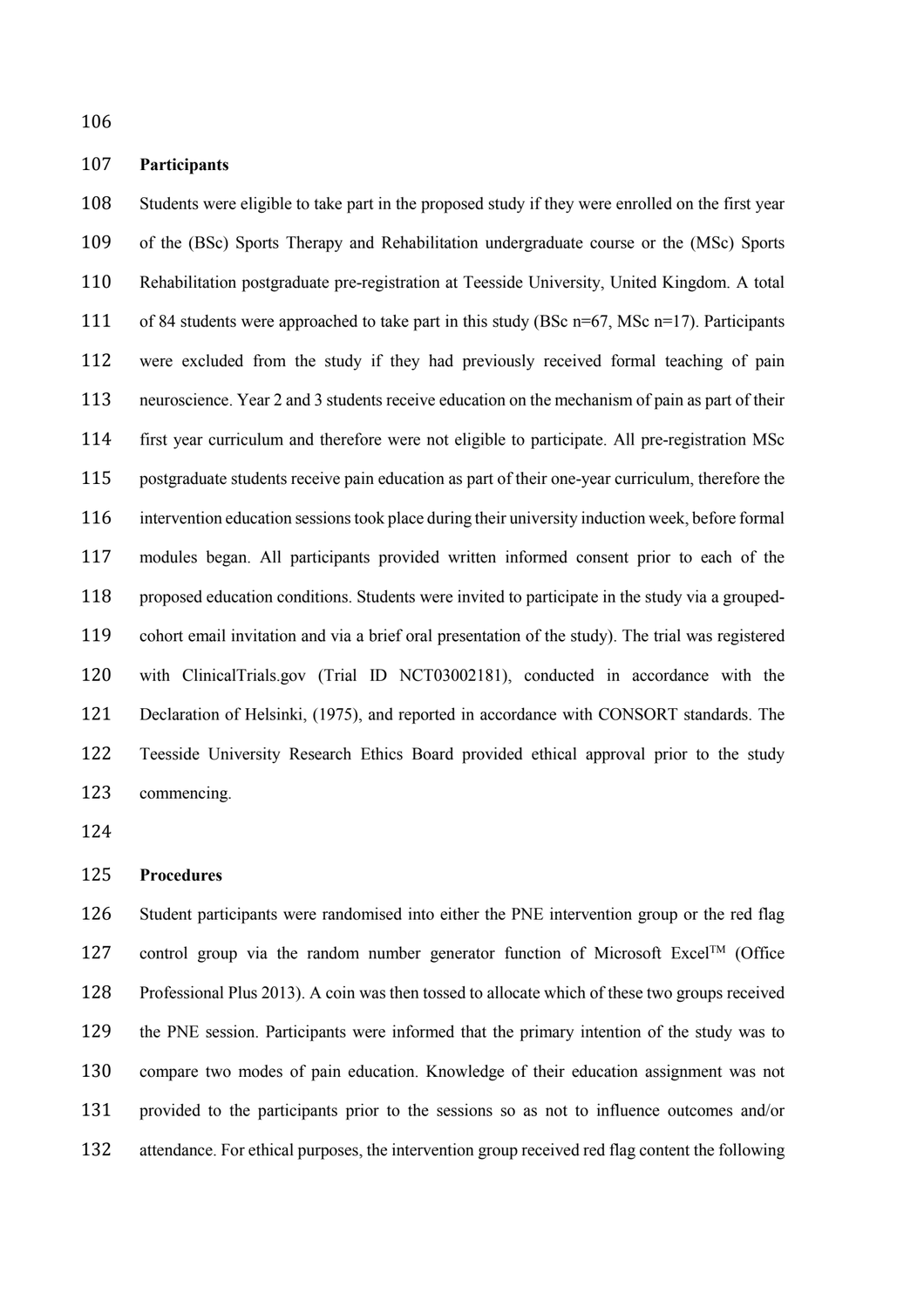# **Participants**

 Students were eligible to take part in the proposed study if they were enrolled on the first year of the (BSc) Sports Therapy and Rehabilitation undergraduate course or the (MSc) Sports Rehabilitation postgraduate pre-registration at Teesside University, United Kingdom. A total 111 of 84 students were approached to take part in this study (BSc n=67, MSc n=17). Participants were excluded from the study if they had previously received formal teaching of pain neuroscience. Year 2 and 3 students receive education on the mechanism of pain as part of their first year curriculum and therefore were not eligible to participate. All pre-registration MSc postgraduate students receive pain education as part of their one-year curriculum, therefore the intervention education sessions took place during their university induction week, before formal modules began. All participants provided written informed consent prior to each of the proposed education conditions. Students were invited to participate in the study via a grouped- cohort email invitation and via a brief oral presentation of the study). The trial was registered with ClinicalTrials.gov (Trial ID NCT03002181), conducted in accordance with the Declaration of Helsinki, (1975), and reported in accordance with CONSORT standards. The Teesside University Research Ethics Board provided ethical approval prior to the study commencing.

# **Procedures**

 Student participants were randomised into either the PNE intervention group or the red flag 127 control group via the random number generator function of Microsoft Excel<sup>TM</sup> (Office Professional Plus 2013). A coin was then tossed to allocate which of these two groups received the PNE session. Participants were informed that the primary intention of the study was to compare two modes of pain education. Knowledge of their education assignment was not provided to the participants prior to the sessions so as not to influence outcomes and/or attendance. For ethical purposes, the intervention group received red flag content the following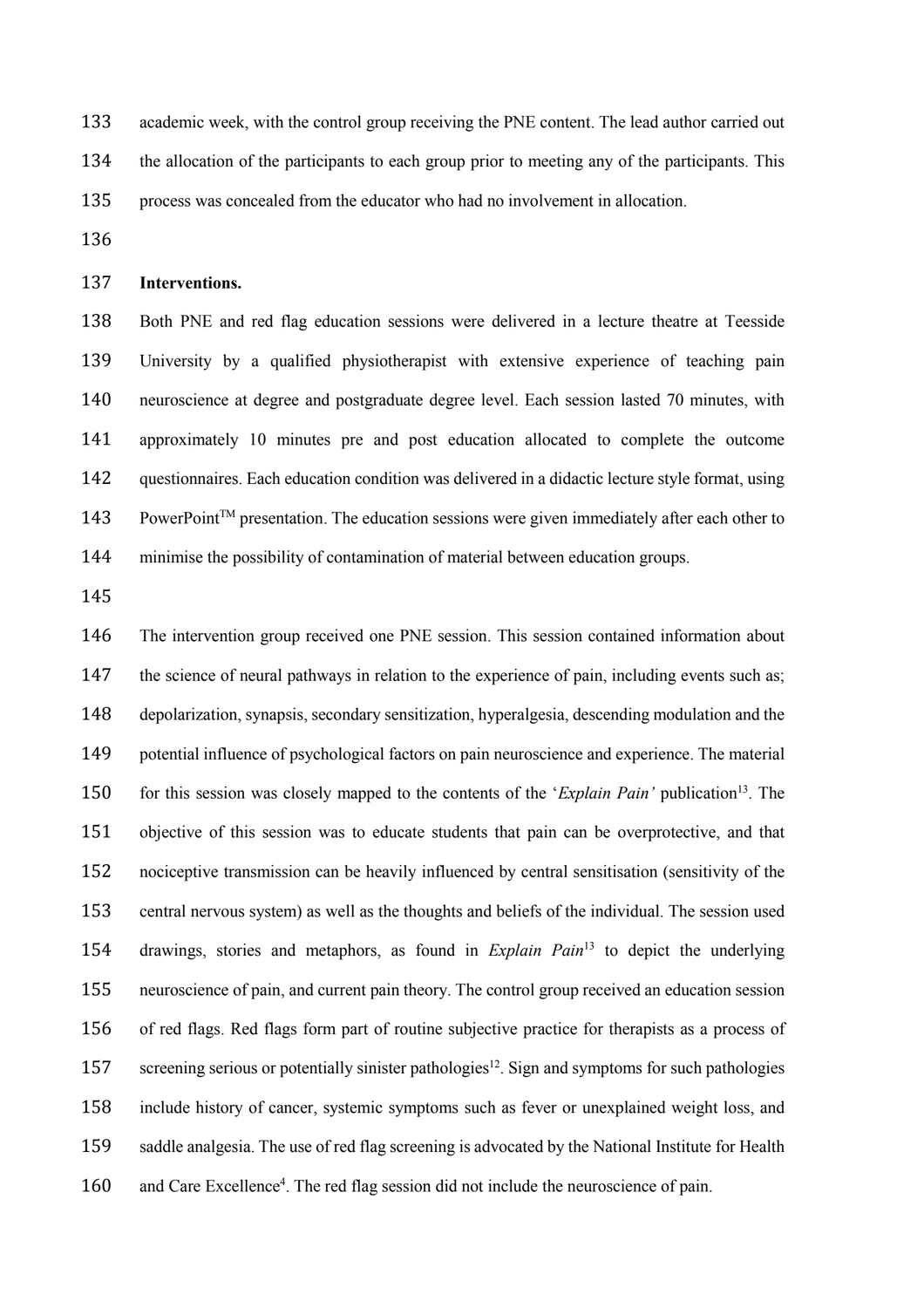academic week, with the control group receiving the PNE content. The lead author carried out the allocation of the participants to each group prior to meeting any of the participants. This process was concealed from the educator who had no involvement in allocation.

# **Interventions.**

 Both PNE and red flag education sessions were delivered in a lecture theatre at Teesside University by a qualified physiotherapist with extensive experience of teaching pain neuroscience at degree and postgraduate degree level. Each session lasted 70 minutes, with approximately 10 minutes pre and post education allocated to complete the outcome questionnaires. Each education condition was delivered in a didactic lecture style format, using 143 PowerPoint<sup>TM</sup> presentation. The education sessions were given immediately after each other to minimise the possibility of contamination of material between education groups.

 The intervention group received one PNE session. This session contained information about 147 the science of neural pathways in relation to the experience of pain, including events such as; depolarization, synapsis, secondary sensitization, hyperalgesia, descending modulation and the potential influence of psychological factors on pain neuroscience and experience. The material for this session was closely mapped to the contents of the '*Explain Pain'* publication13 . The objective of this session was to educate students that pain can be overprotective, and that nociceptive transmission can be heavily influenced by central sensitisation (sensitivity of the central nervous system) as well as the thoughts and beliefs of the individual. The session used 154 drawings, stories and metaphors, as found in *Explain Pain*<sup>13</sup> to depict the underlying neuroscience of pain, and current pain theory. The control group received an education session of red flags. Red flags form part of routine subjective practice for therapists as a process of 157 screening serious or potentially sinister pathologies<sup>12</sup>. Sign and symptoms for such pathologies include history of cancer, systemic symptoms such as fever or unexplained weight loss, and saddle analgesia. The use of red flag screening is advocated by the National Institute for Health 160 and Care Excellence<sup>4</sup>. The red flag session did not include the neuroscience of pain.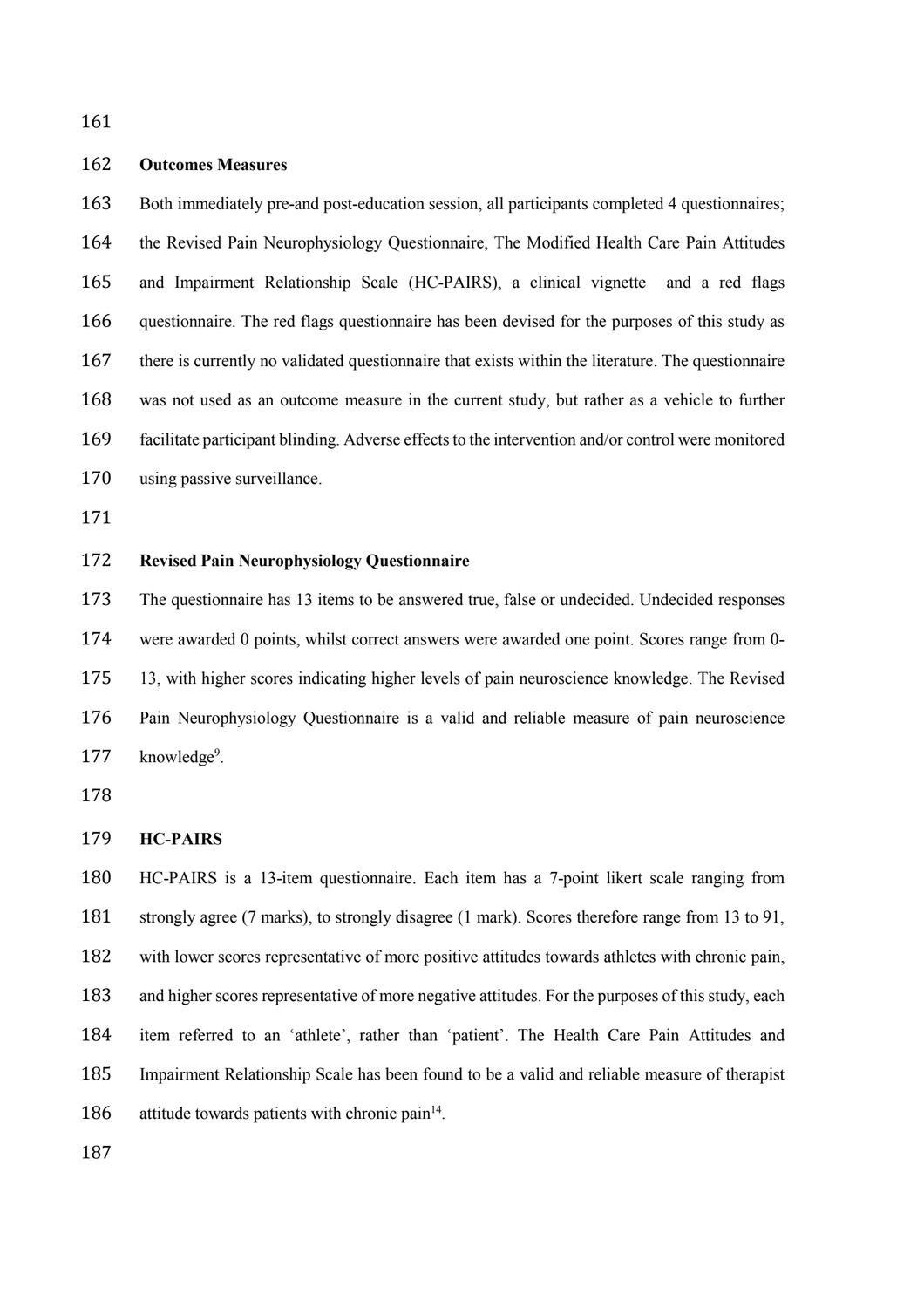# **Outcomes Measures**

 Both immediately pre-and post-education session, all participants completed 4 questionnaires; the Revised Pain Neurophysiology Questionnaire, The Modified Health Care Pain Attitudes and Impairment Relationship Scale (HC-PAIRS), a clinical vignette and a red flags questionnaire. The red flags questionnaire has been devised for the purposes of this study as there is currently no validated questionnaire that exists within the literature. The questionnaire was not used as an outcome measure in the current study, but rather as a vehicle to further facilitate participant blinding. Adverse effects to the intervention and/or control were monitored using passive surveillance.

# **Revised Pain Neurophysiology Questionnaire**

 The questionnaire has 13 items to be answered true, false or undecided. Undecided responses were awarded 0 points, whilst correct answers were awarded one point. Scores range from 0- 13, with higher scores indicating higher levels of pain neuroscience knowledge. The Revised Pain Neurophysiology Questionnaire is a valid and reliable measure of pain neuroscience 177 knowledge<sup>9</sup>.

#### **HC-PAIRS**

 HC-PAIRS is a 13-item questionnaire. Each item has a 7-point likert scale ranging from strongly agree (7 marks), to strongly disagree (1 mark). Scores therefore range from 13 to 91, with lower scores representative of more positive attitudes towards athletes with chronic pain, and higher scores representative of more negative attitudes. For the purposes of this study, each item referred to an 'athlete', rather than 'patient'. The Health Care Pain Attitudes and Impairment Relationship Scale has been found to be a valid and reliable measure of therapist 186 attitude towards patients with chronic pain.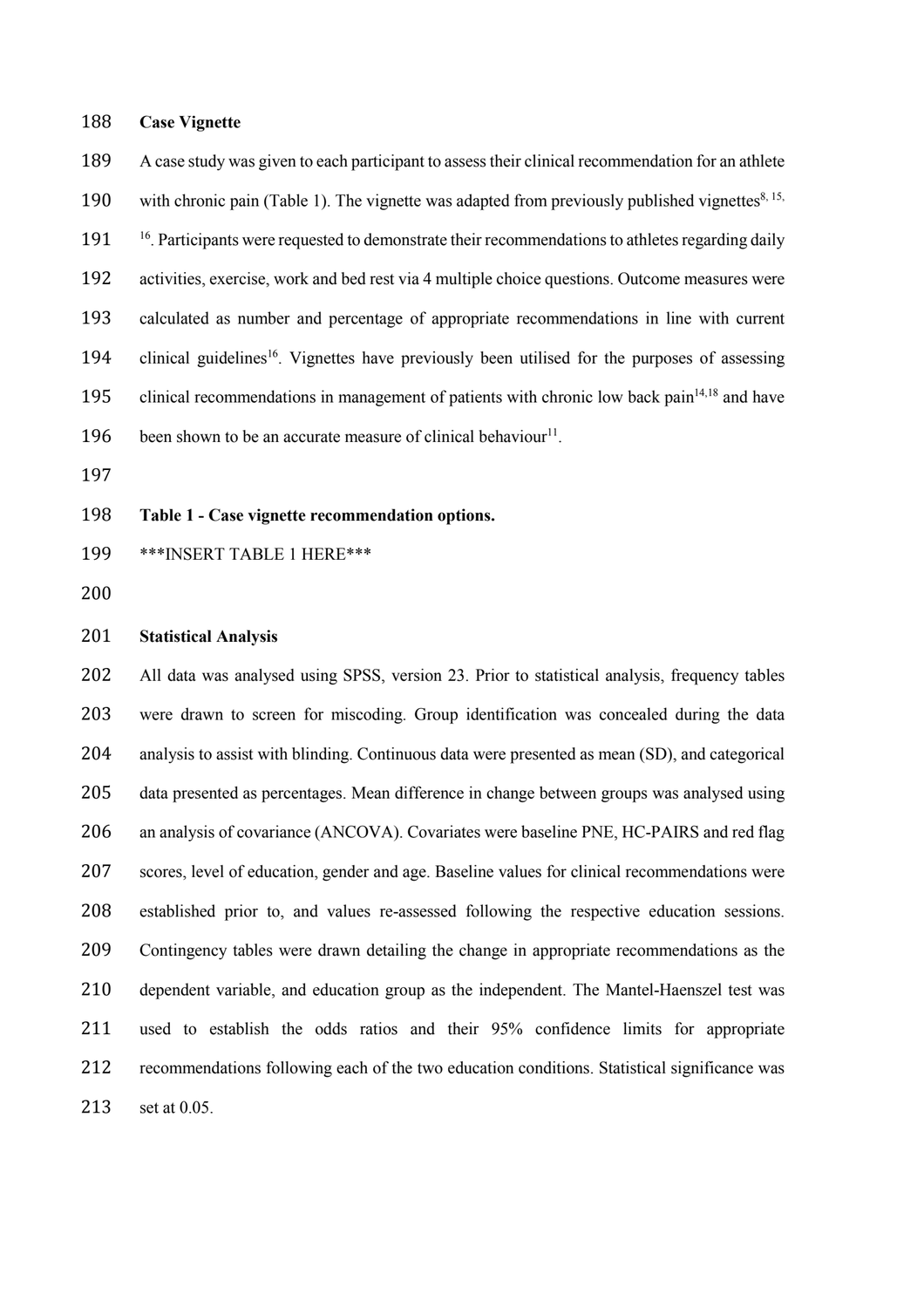#### **Case Vignette**

 A case study was given to each participant to assess their clinical recommendation for an athlete 190 with chronic pain (Table 1). The vignette was adapted from previously published vignettes $8, 15, 190$ 191 <sup>16</sup>. Participants were requested to demonstrate their recommendations to athletes regarding daily activities, exercise, work and bed rest via 4 multiple choice questions. Outcome measures were calculated as number and percentage of appropriate recommendations in line with current 194 clinical guidelines<sup>16</sup>. Vignettes have previously been utilised for the purposes of assessing 195 clinical recommendations in management of patients with chronic low back pain $14,18$  and have 196 been shown to be an accurate measure of clinical behaviour<sup>11</sup>.

# **Table 1 - Case vignette recommendation options.**

- \*\*\*INSERT TABLE 1 HERE\*\*\*
- 

## **Statistical Analysis**

 All data was analysed using SPSS, version 23. Prior to statistical analysis, frequency tables were drawn to screen for miscoding. Group identification was concealed during the data analysis to assist with blinding. Continuous data were presented as mean (SD), and categorical data presented as percentages. Mean difference in change between groups was analysed using an analysis of covariance (ANCOVA). Covariates were baseline PNE, HC-PAIRS and red flag scores, level of education, gender and age. Baseline values for clinical recommendations were established prior to, and values re-assessed following the respective education sessions. Contingency tables were drawn detailing the change in appropriate recommendations as the dependent variable, and education group as the independent. The Mantel-Haenszel test was used to establish the odds ratios and their 95% confidence limits for appropriate recommendations following each of the two education conditions. Statistical significance was set at 0.05.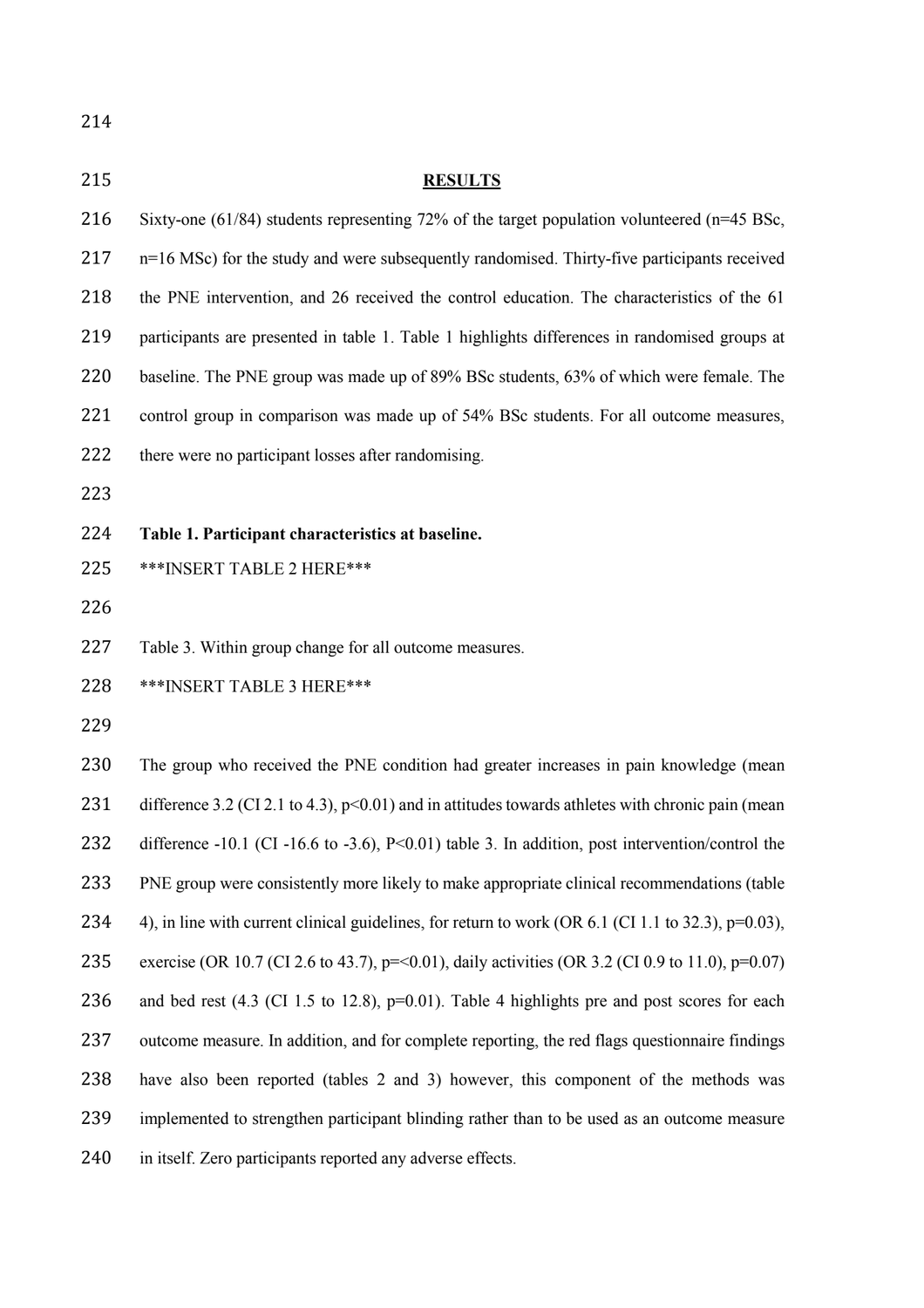# **RESULTS** Sixty-one (61/84) students representing 72% of the target population volunteered (n=45 BSc, 217 n=16 MSc) for the study and were subsequently randomised. Thirty-five participants received the PNE intervention, and 26 received the control education. The characteristics of the 61 participants are presented in table 1. Table 1 highlights differences in randomised groups at baseline. The PNE group was made up of 89% BSc students, 63% of which were female. The control group in comparison was made up of 54% BSc students. For all outcome measures, 222 there were no participant losses after randomising. **Table 1. Participant characteristics at baseline.** \*\*\*INSERT TABLE 2 HERE\*\*\* Table 3. Within group change for all outcome measures. \*\*\*INSERT TABLE 3 HERE\*\*\* The group who received the PNE condition had greater increases in pain knowledge (mean 231 difference 3.2 (CI 2.1 to 4.3), p<0.01) and in attitudes towards athletes with chronic pain (mean 232 difference -10.1 (CI -16.6 to -3.6), P<0.01) table 3. In addition, post intervention/control the PNE group were consistently more likely to make appropriate clinical recommendations (table 4), in line with current clinical guidelines, for return to work (OR 6.1 (CI 1.1 to 32.3), p=0.03), 235 exercise (OR 10.7 (CI 2.6 to 43.7), p=<0.01), daily activities (OR 3.2 (CI 0.9 to 11.0), p=0.07) 236 and bed rest (4.3 (CI 1.5 to 12.8), p=0.01). Table 4 highlights pre and post scores for each outcome measure. In addition, and for complete reporting, the red flags questionnaire findings have also been reported (tables 2 and 3) however, this component of the methods was implemented to strengthen participant blinding rather than to be used as an outcome measure in itself. Zero participants reported any adverse effects.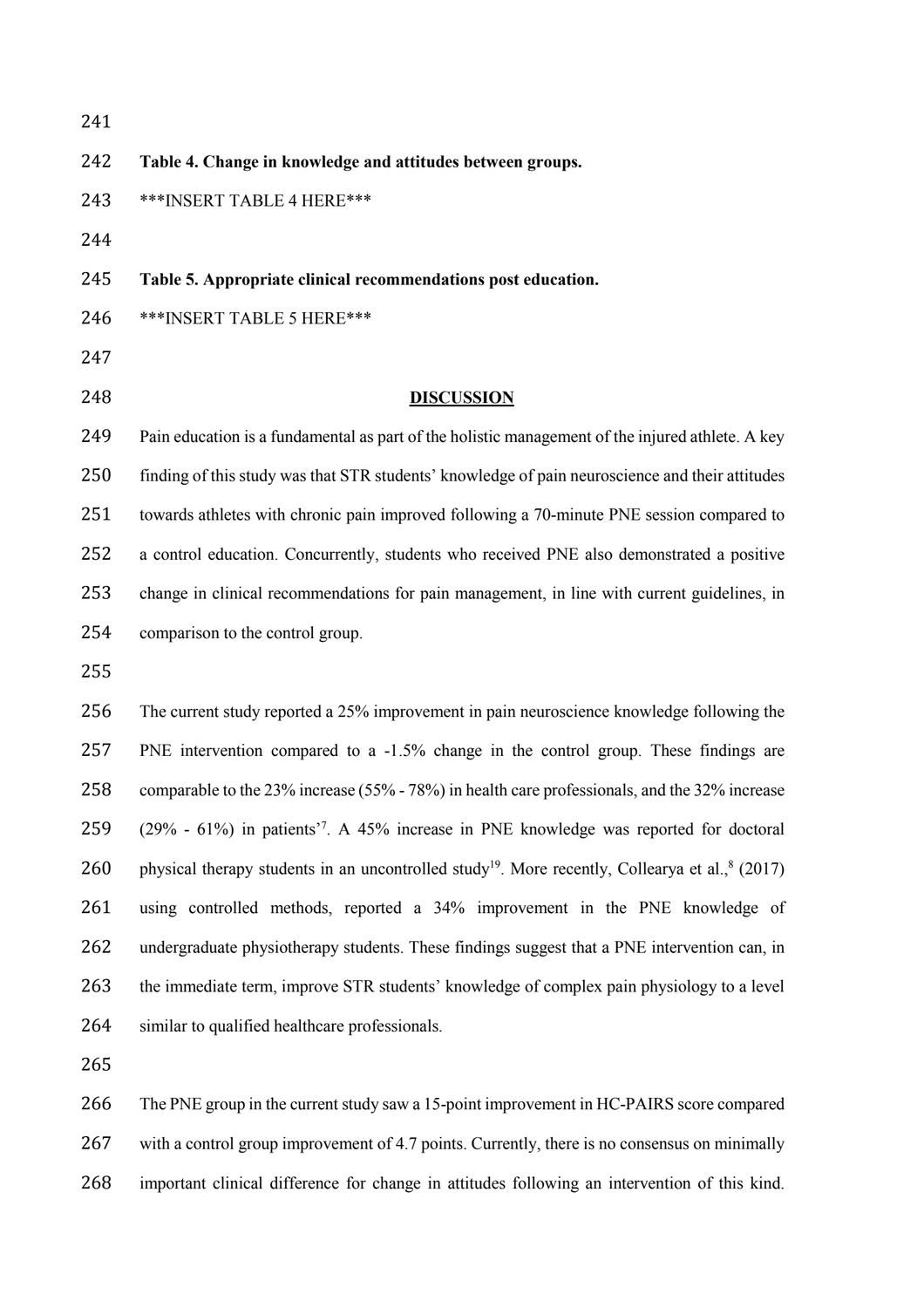**Table 4. Change in knowledge and attitudes between groups.** \*\*\*INSERT TABLE 4 HERE\*\*\* **Table 5. Appropriate clinical recommendations post education.** \*\*\*INSERT TABLE 5 HERE\*\*\* 

# **DISCUSSION**

249 Pain education is a fundamental as part of the holistic management of the injured athlete. A key finding of this study was that STR students' knowledge of pain neuroscience and their attitudes towards athletes with chronic pain improved following a 70-minute PNE session compared to a control education. Concurrently, students who received PNE also demonstrated a positive change in clinical recommendations for pain management, in line with current guidelines, in comparison to the control group.

 The current study reported a 25% improvement in pain neuroscience knowledge following the PNE intervention compared to a -1.5% change in the control group. These findings are comparable to the 23% increase (55% - 78%) in health care professionals, and the 32% increase  $(29\% - 61\%)$  in patients<sup>7</sup>. A 45% increase in PNE knowledge was reported for doctoral 260 physical therapy students in an uncontrolled study<sup>19</sup>. More recently, Collearya et al., $8(2017)$  using controlled methods, reported a 34% improvement in the PNE knowledge of undergraduate physiotherapy students. These findings suggest that a PNE intervention can, in the immediate term, improve STR students' knowledge of complex pain physiology to a level similar to qualified healthcare professionals.

 The PNE group in the current study saw a 15-point improvement in HC-PAIRS score compared with a control group improvement of 4.7 points. Currently, there is no consensus on minimally important clinical difference for change in attitudes following an intervention of this kind.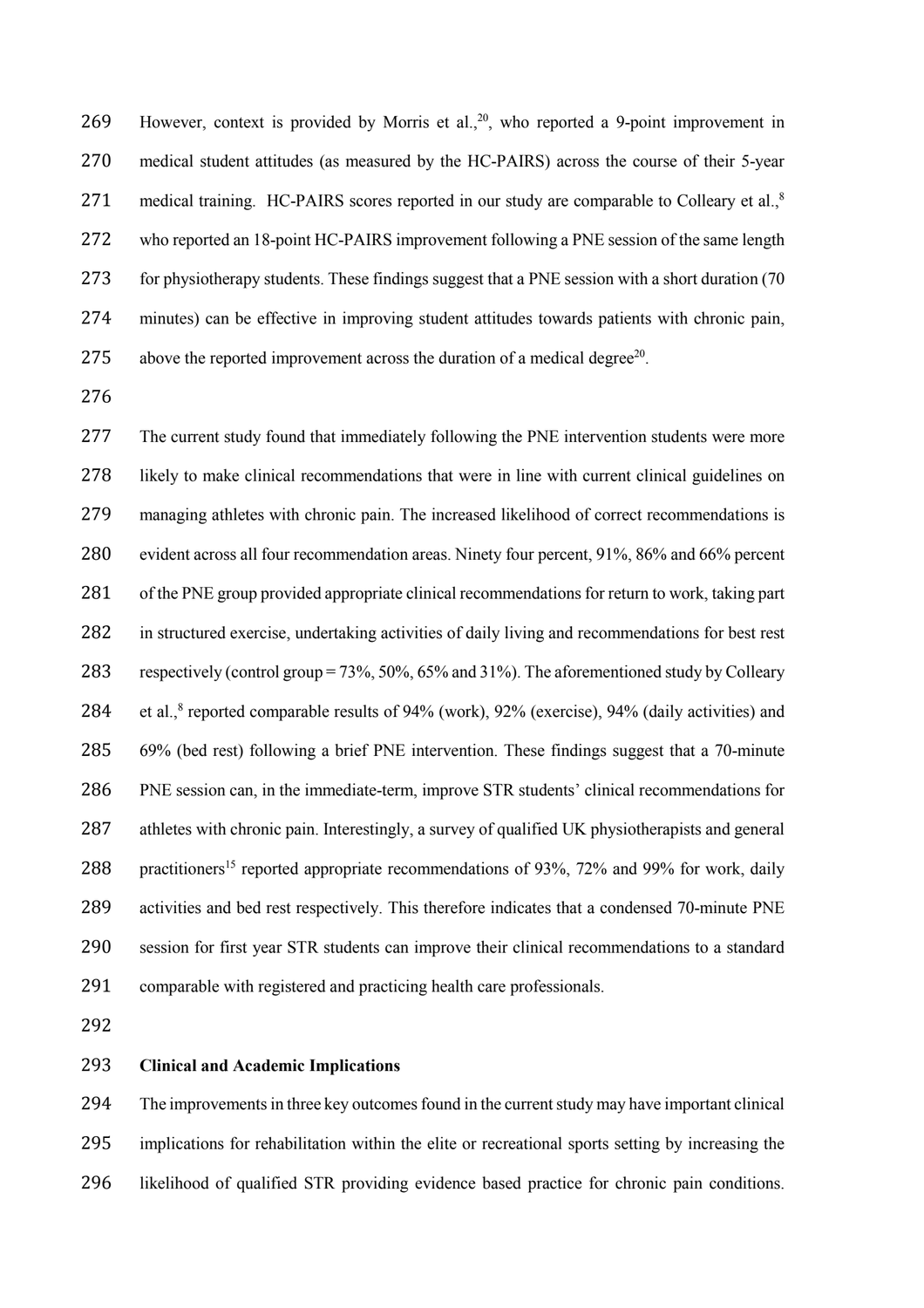269 However, context is provided by Morris et al., , who reported a 9-point improvement in medical student attitudes (as measured by the HC-PAIRS) across the course of their 5-year 271 medical training. HC-PAIRS scores reported in our study are comparable to Colleary et al.,<sup>8</sup> who reported an 18-point HC-PAIRS improvement following a PNE session of the same length 273 for physiotherapy students. These findings suggest that a PNE session with a short duration (70 minutes) can be effective in improving student attitudes towards patients with chronic pain, 275 above the reported improvement across the duration of a medical degree<sup>20</sup>.

277 The current study found that immediately following the PNE intervention students were more likely to make clinical recommendations that were in line with current clinical guidelines on managing athletes with chronic pain. The increased likelihood of correct recommendations is evident across all four recommendation areas. Ninety four percent, 91%, 86% and 66% percent of the PNE group provided appropriate clinical recommendations for return to work, taking part in structured exercise, undertaking activities of daily living and recommendations for best rest respectively (control group = 73%, 50%, 65% and 31%). The aforementioned study by Colleary 284 et al., reported comparable results of 94% (work), 92% (exercise), 94% (daily activities) and 69% (bed rest) following a brief PNE intervention. These findings suggest that a 70-minute PNE session can, in the immediate-term, improve STR students' clinical recommendations for athletes with chronic pain. Interestingly, a survey of qualified UK physiotherapists and general 288 practitioners<sup>15</sup> reported appropriate recommendations of 93%, 72% and 99% for work, daily activities and bed rest respectively. This therefore indicates that a condensed 70-minute PNE session for first year STR students can improve their clinical recommendations to a standard comparable with registered and practicing health care professionals.

# **Clinical and Academic Implications**

 The improvements in three key outcomes found in the current study may have important clinical implications for rehabilitation within the elite or recreational sports setting by increasing the likelihood of qualified STR providing evidence based practice for chronic pain conditions.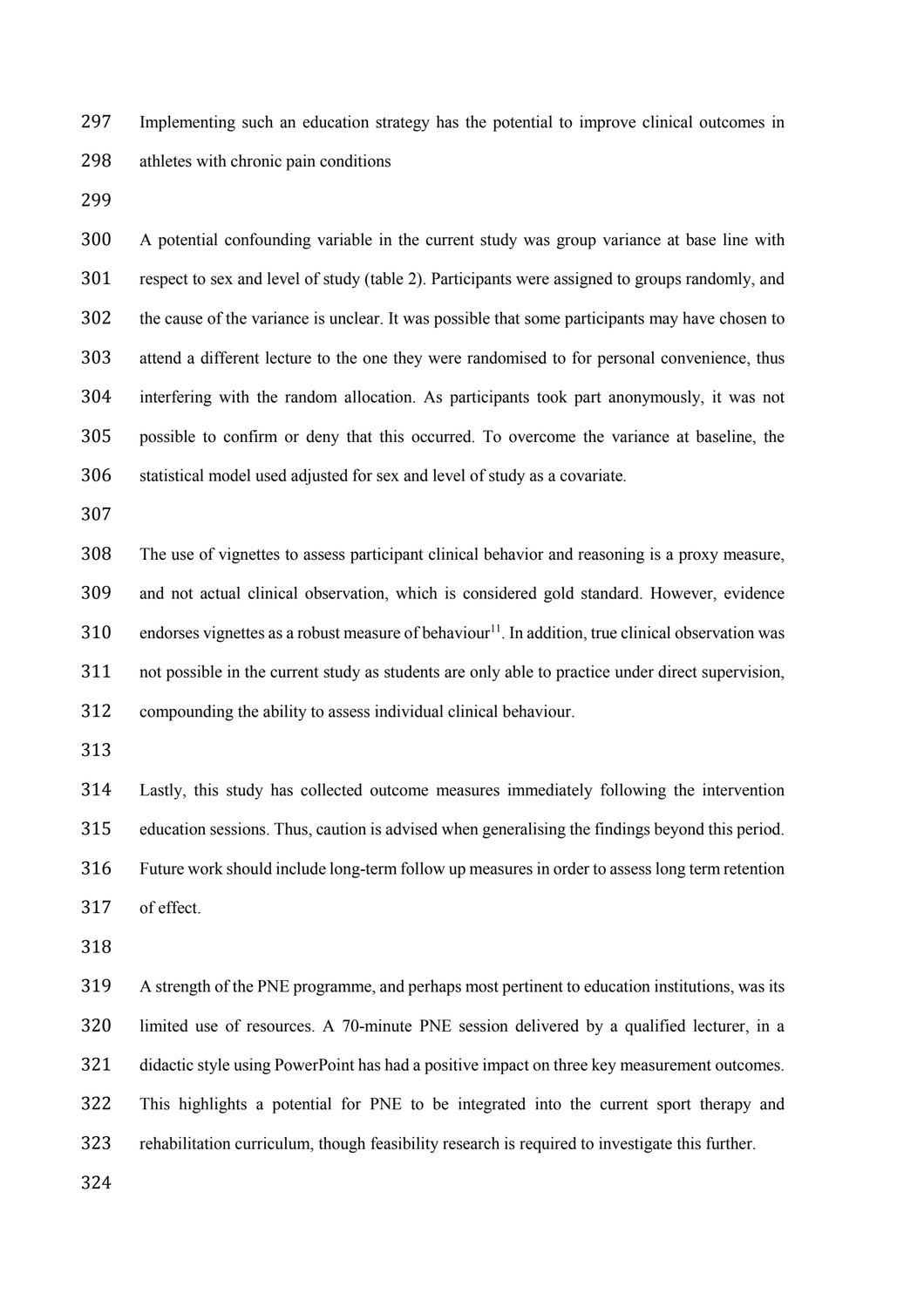Implementing such an education strategy has the potential to improve clinical outcomes in athletes with chronic pain conditions

 A potential confounding variable in the current study was group variance at base line with respect to sex and level of study (table 2). Participants were assigned to groups randomly, and the cause of the variance is unclear. It was possible that some participants may have chosen to attend a different lecture to the one they were randomised to for personal convenience, thus interfering with the random allocation. As participants took part anonymously, it was not possible to confirm or deny that this occurred. To overcome the variance at baseline, the statistical model used adjusted for sex and level of study as a covariate.

 The use of vignettes to assess participant clinical behavior and reasoning is a proxy measure, and not actual clinical observation, which is considered gold standard. However, evidence 310 endorses vignettes as a robust measure of behaviour<sup>11</sup>. In addition, true clinical observation was not possible in the current study as students are only able to practice under direct supervision, compounding the ability to assess individual clinical behaviour.

 Lastly, this study has collected outcome measures immediately following the intervention education sessions. Thus, caution is advised when generalising the findings beyond this period. Future work should include long-term follow up measures in order to assess long term retention of effect.

 A strength of the PNE programme, and perhaps most pertinent to education institutions, was its limited use of resources. A 70-minute PNE session delivered by a qualified lecturer, in a didactic style using PowerPoint has had a positive impact on three key measurement outcomes. This highlights a potential for PNE to be integrated into the current sport therapy and rehabilitation curriculum, though feasibility research is required to investigate this further.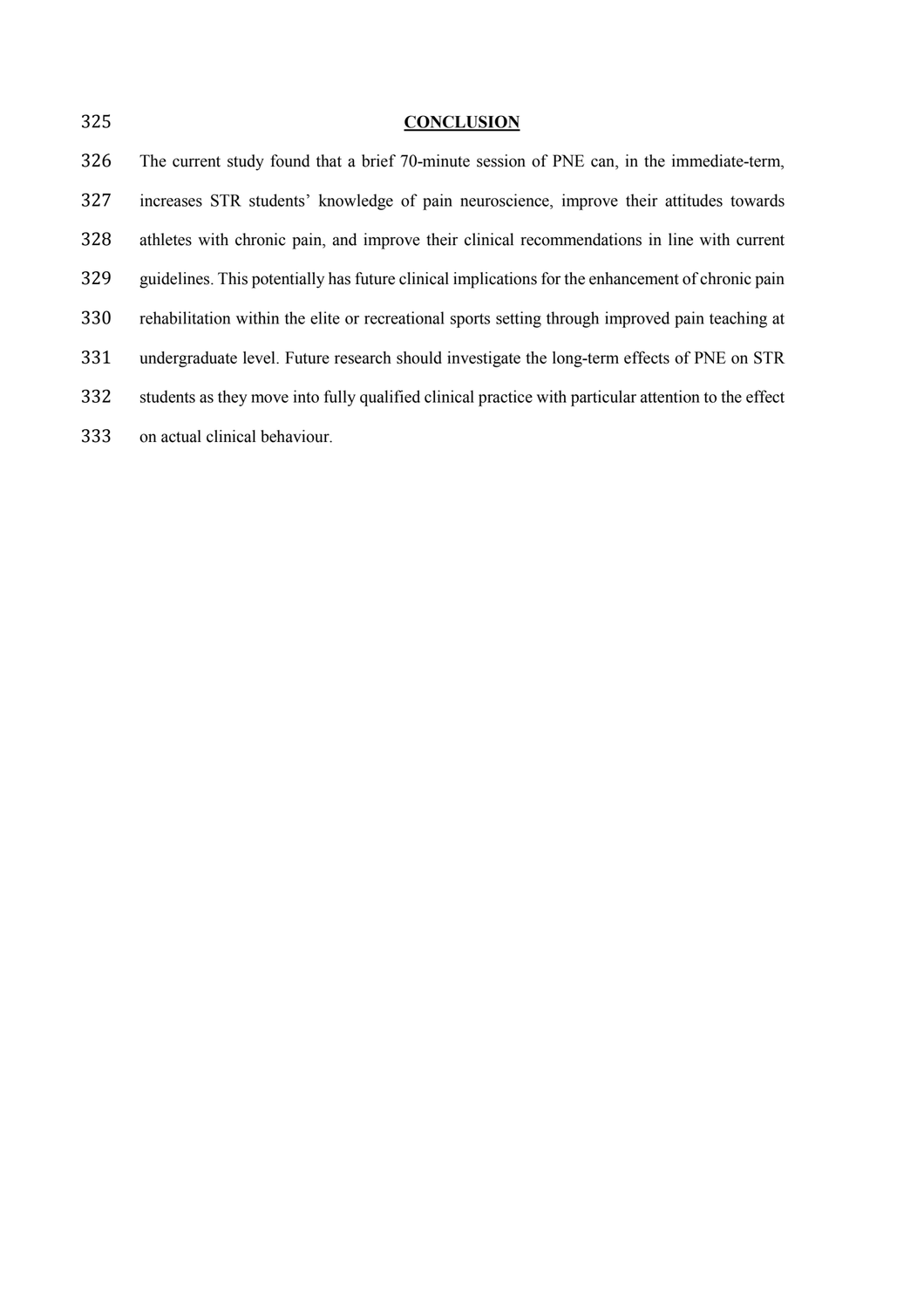| 325 | <b>CONCLUSION</b>                                                                                    |
|-----|------------------------------------------------------------------------------------------------------|
| 326 | The current study found that a brief 70-minute session of PNE can, in the immediate-term,            |
| 327 | increases STR students' knowledge of pain neuroscience, improve their attitudes towards              |
| 328 | athletes with chronic pain, and improve their clinical recommendations in line with current          |
| 329 | guidelines. This potentially has future clinical implications for the enhancement of chronic pain    |
| 330 | rehabilitation within the elite or recreational sports setting through improved pain teaching at     |
| 331 | undergraduate level. Future research should investigate the long-term effects of PNE on STR          |
| 332 | students as they move into fully qualified clinical practice with particular attention to the effect |
| 333 | on actual clinical behaviour.                                                                        |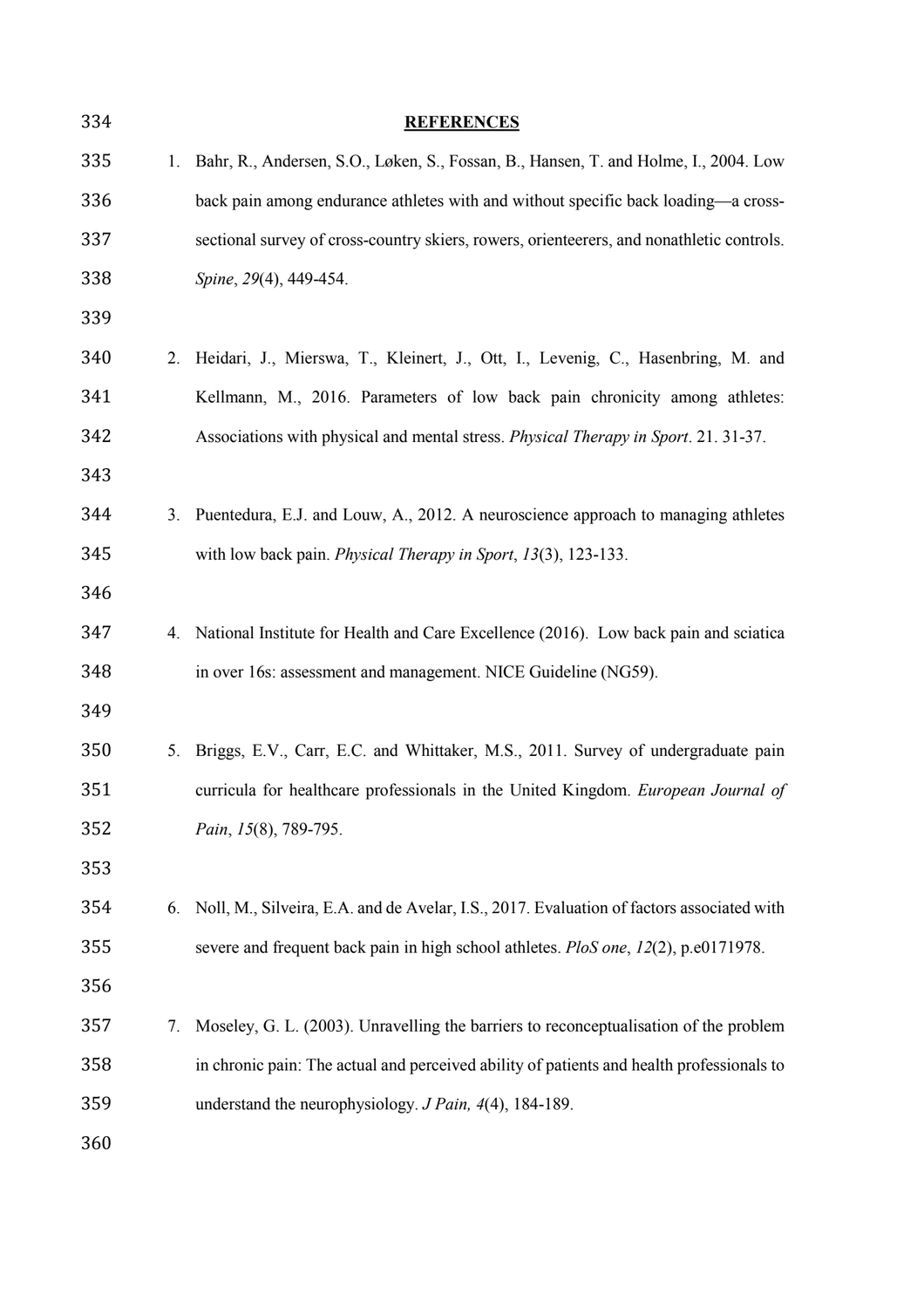| 334 |    | <b>REFERENCES</b>                                                                         |
|-----|----|-------------------------------------------------------------------------------------------|
| 335 | 1. | Bahr, R., Andersen, S.O., Løken, S., Fossan, B., Hansen, T. and Holme, I., 2004. Low      |
| 336 |    | back pain among endurance athletes with and without specific back loading—a cross-        |
| 337 |    | sectional survey of cross-country skiers, rowers, orienteerers, and nonathletic controls. |
| 338 |    | Spine, 29(4), 449-454.                                                                    |
| 339 |    |                                                                                           |
| 340 | 2. | Heidari, J., Mierswa, T., Kleinert, J., Ott, I., Levenig, C., Hasenbring, M. and          |
| 341 |    | Kellmann, M., 2016. Parameters of low back pain chronicity among athletes:                |
| 342 |    | Associations with physical and mental stress. Physical Therapy in Sport. 21. 31-37.       |
| 343 |    |                                                                                           |
| 344 | 3. | Puentedura, E.J. and Louw, A., 2012. A neuroscience approach to managing athletes         |
| 345 |    | with low back pain. Physical Therapy in Sport, 13(3), 123-133.                            |
| 346 |    |                                                                                           |
| 347 | 4. | National Institute for Health and Care Excellence (2016). Low back pain and sciatica      |
| 348 |    | in over 16s: assessment and management. NICE Guideline (NG59).                            |
| 349 |    |                                                                                           |
| 350 | 5. | Briggs, E.V., Carr, E.C. and Whittaker, M.S., 2011. Survey of undergraduate pain          |
| 351 |    | curricula for healthcare professionals in the United Kingdom. European Journal of         |
| 352 |    | Pain, 15(8), 789-795.                                                                     |
| 353 |    |                                                                                           |
| 354 | 6. | Noll, M., Silveira, E.A. and de Avelar, I.S., 2017. Evaluation of factors associated with |
| 355 |    | severe and frequent back pain in high school athletes. PloS one, 12(2), p.e0171978.       |
| 356 |    |                                                                                           |
| 357 | 7. | Moseley, G. L. (2003). Unravelling the barriers to reconceptualisation of the problem     |
| 358 |    | in chronic pain: The actual and perceived ability of patients and health professionals to |
| 359 |    | understand the neurophysiology. J Pain, 4(4), 184-189.                                    |
| 360 |    |                                                                                           |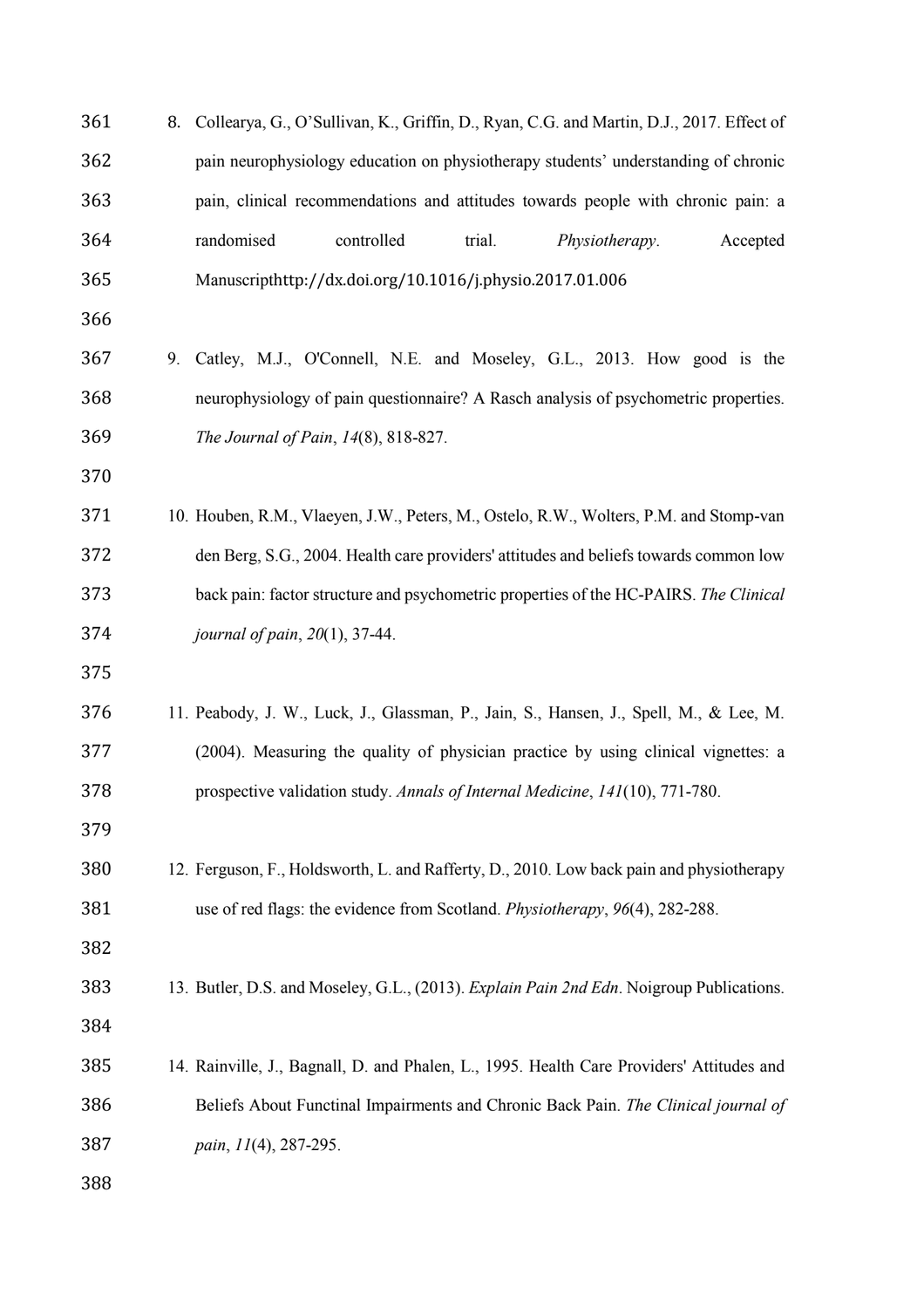| 361 | 8. | Collearya, G., O'Sullivan, K., Griffin, D., Ryan, C.G. and Martin, D.J., 2017. Effect of  |
|-----|----|-------------------------------------------------------------------------------------------|
| 362 |    | pain neurophysiology education on physiotherapy students' understanding of chronic        |
| 363 |    | pain, clinical recommendations and attitudes towards people with chronic pain: a          |
| 364 |    | randomised<br>controlled<br>trial.<br>Physiotherapy.<br>Accepted                          |
| 365 |    | Manuscripthttp://dx.doi.org/10.1016/j.physio.2017.01.006                                  |
| 366 |    |                                                                                           |
| 367 | 9. | Catley, M.J., O'Connell, N.E. and Moseley, G.L., 2013. How good is the                    |
| 368 |    | neurophysiology of pain questionnaire? A Rasch analysis of psychometric properties.       |
| 369 |    | The Journal of Pain, 14(8), 818-827.                                                      |
| 370 |    |                                                                                           |
| 371 |    | 10. Houben, R.M., Vlaeyen, J.W., Peters, M., Ostelo, R.W., Wolters, P.M. and Stomp-van    |
| 372 |    | den Berg, S.G., 2004. Health care providers' attitudes and beliefs towards common low     |
| 373 |    | back pain: factor structure and psychometric properties of the HC-PAIRS. The Clinical     |
| 374 |    | journal of pain, 20(1), 37-44.                                                            |
| 375 |    |                                                                                           |
| 376 |    | 11. Peabody, J. W., Luck, J., Glassman, P., Jain, S., Hansen, J., Spell, M., & Lee, M.    |
| 377 |    | (2004). Measuring the quality of physician practice by using clinical vignettes: a        |
| 378 |    | prospective validation study. Annals of Internal Medicine, 141(10), 771-780.              |
| 379 |    |                                                                                           |
| 380 |    | 12. Ferguson, F., Holdsworth, L. and Rafferty, D., 2010. Low back pain and physiotherapy  |
| 381 |    | use of red flags: the evidence from Scotland. Physiotherapy, 96(4), 282-288.              |
| 382 |    |                                                                                           |
| 383 |    | 13. Butler, D.S. and Moseley, G.L., (2013). Explain Pain 2nd Edn. Noigroup Publications.  |
| 384 |    |                                                                                           |
| 385 |    | 14. Rainville, J., Bagnall, D. and Phalen, L., 1995. Health Care Providers' Attitudes and |
| 386 |    | Beliefs About Functinal Impairments and Chronic Back Pain. The Clinical journal of        |
| 387 |    | pain, 11(4), 287-295.                                                                     |
| 388 |    |                                                                                           |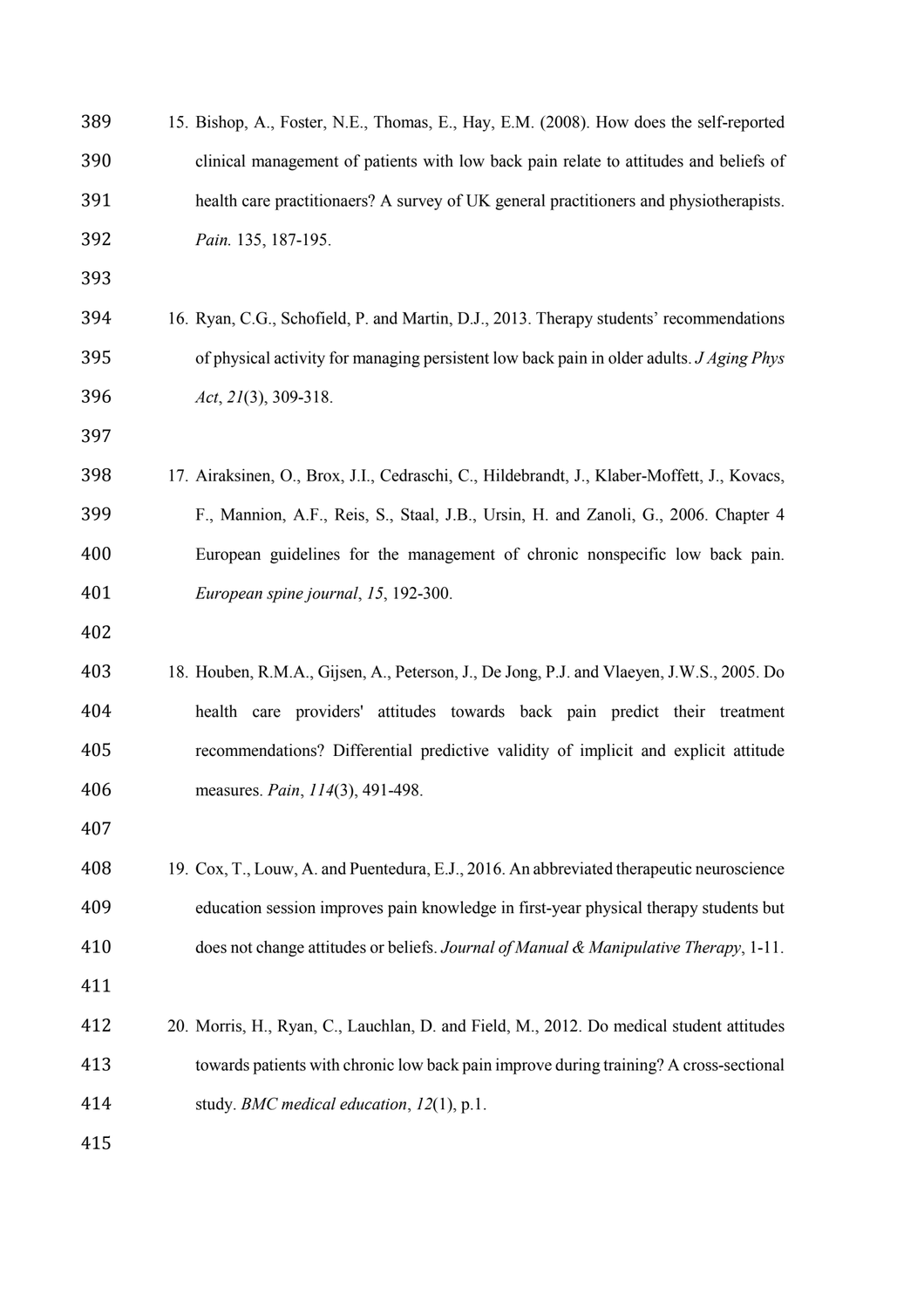| 389 | 15. Bishop, A., Foster, N.E., Thomas, E., Hay, E.M. (2008). How does the self-reported      |
|-----|---------------------------------------------------------------------------------------------|
| 390 | clinical management of patients with low back pain relate to attitudes and beliefs of       |
| 391 | health care practitionaers? A survey of UK general practitioners and physiotherapists.      |
| 392 | Pain. 135, 187-195.                                                                         |
| 393 |                                                                                             |
| 394 | 16. Ryan, C.G., Schofield, P. and Martin, D.J., 2013. Therapy students' recommendations     |
| 395 | of physical activity for managing persistent low back pain in older adults. J Aging Phys    |
| 396 | $Act, 21(3), 309-318.$                                                                      |
| 397 |                                                                                             |
| 398 | 17. Airaksinen, O., Brox, J.I., Cedraschi, C., Hildebrandt, J., Klaber-Moffett, J., Kovacs, |
| 399 | F., Mannion, A.F., Reis, S., Staal, J.B., Ursin, H. and Zanoli, G., 2006. Chapter 4         |
| 400 | European guidelines for the management of chronic nonspecific low back pain.                |
| 401 | European spine journal, 15, 192-300.                                                        |
| 402 |                                                                                             |
| 403 | 18. Houben, R.M.A., Gijsen, A., Peterson, J., De Jong, P.J. and Vlaeyen, J.W.S., 2005. Do   |
| 404 | health care providers' attitudes towards back pain predict their treatment                  |
| 405 | recommendations? Differential predictive validity of implicit and explicit attitude         |
| 406 | measures. Pain, 114(3), 491-498.                                                            |
| 407 |                                                                                             |
| 408 | 19. Cox, T., Louw, A. and Puentedura, E.J., 2016. An abbreviated therapeutic neuroscience   |
| 409 | education session improves pain knowledge in first-year physical therapy students but       |
| 410 | does not change attitudes or beliefs. Journal of Manual & Manipulative Therapy, 1-11.       |
| 411 |                                                                                             |
| 412 | 20. Morris, H., Ryan, C., Lauchlan, D. and Field, M., 2012. Do medical student attitudes    |
| 413 | towards patients with chronic low back pain improve during training? A cross-sectional      |
| 414 | study. BMC medical education, 12(1), p.1.                                                   |
| 415 |                                                                                             |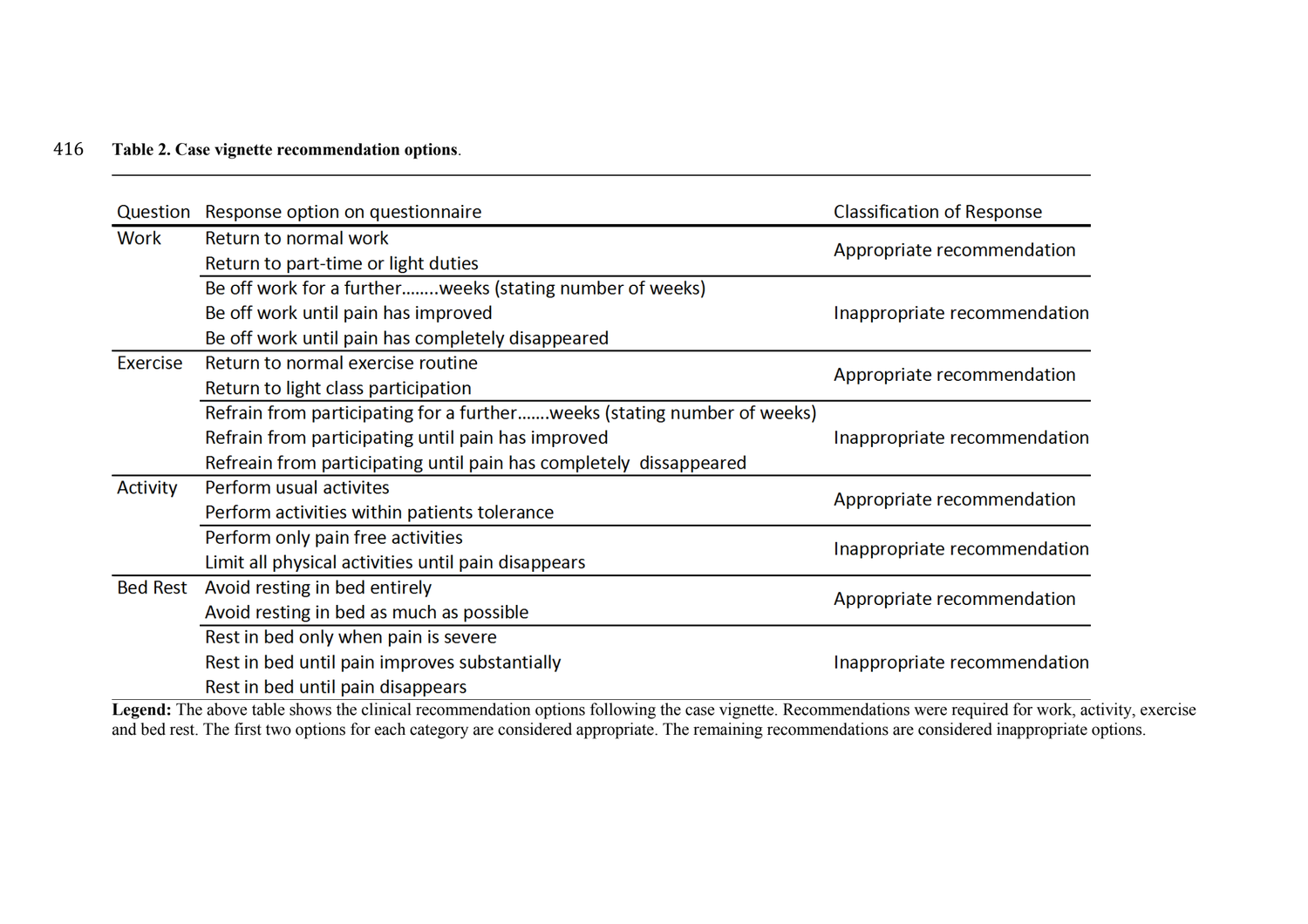# 416 **Table 2. Case vignette recommendation options**.

| Question        | Response option on questionnaire                                        | <b>Classification of Response</b> |  |
|-----------------|-------------------------------------------------------------------------|-----------------------------------|--|
| Work            | Return to normal work                                                   |                                   |  |
|                 | Return to part-time or light duties                                     | Appropriate recommendation        |  |
|                 | Be off work for a furtherweeks (stating number of weeks)                |                                   |  |
|                 | Be off work until pain has improved                                     | Inappropriate recommendation      |  |
|                 | Be off work until pain has completely disappeared                       |                                   |  |
| Exercise        | Return to normal exercise routine                                       |                                   |  |
|                 | Return to light class participation                                     | Appropriate recommendation        |  |
|                 | Refrain from participating for a furtherweeks (stating number of weeks) |                                   |  |
|                 | Refrain from participating until pain has improved                      | Inappropriate recommendation      |  |
|                 | Refreain from participating until pain has completely dissappeared      |                                   |  |
| Activity        | Perform usual activites                                                 |                                   |  |
|                 | Perform activities within patients tolerance                            | Appropriate recommendation        |  |
|                 | Perform only pain free activities                                       | Inappropriate recommendation      |  |
|                 | Limit all physical activities until pain disappears                     |                                   |  |
| <b>Bed Rest</b> | Avoid resting in bed entirely                                           |                                   |  |
|                 | Avoid resting in bed as much as possible                                | Appropriate recommendation        |  |
|                 | Rest in bed only when pain is severe                                    |                                   |  |
|                 | Rest in bed until pain improves substantially                           | Inappropriate recommendation      |  |
|                 | Rest in bed until pain disappears                                       |                                   |  |

Legend: The above table shows the clinical recommendation options following the case vignette. Recommendations were required for work, activity, exercise and bed rest. The first two options for each category are considered appropriate. The remaining recommendations are considered inappropriate options.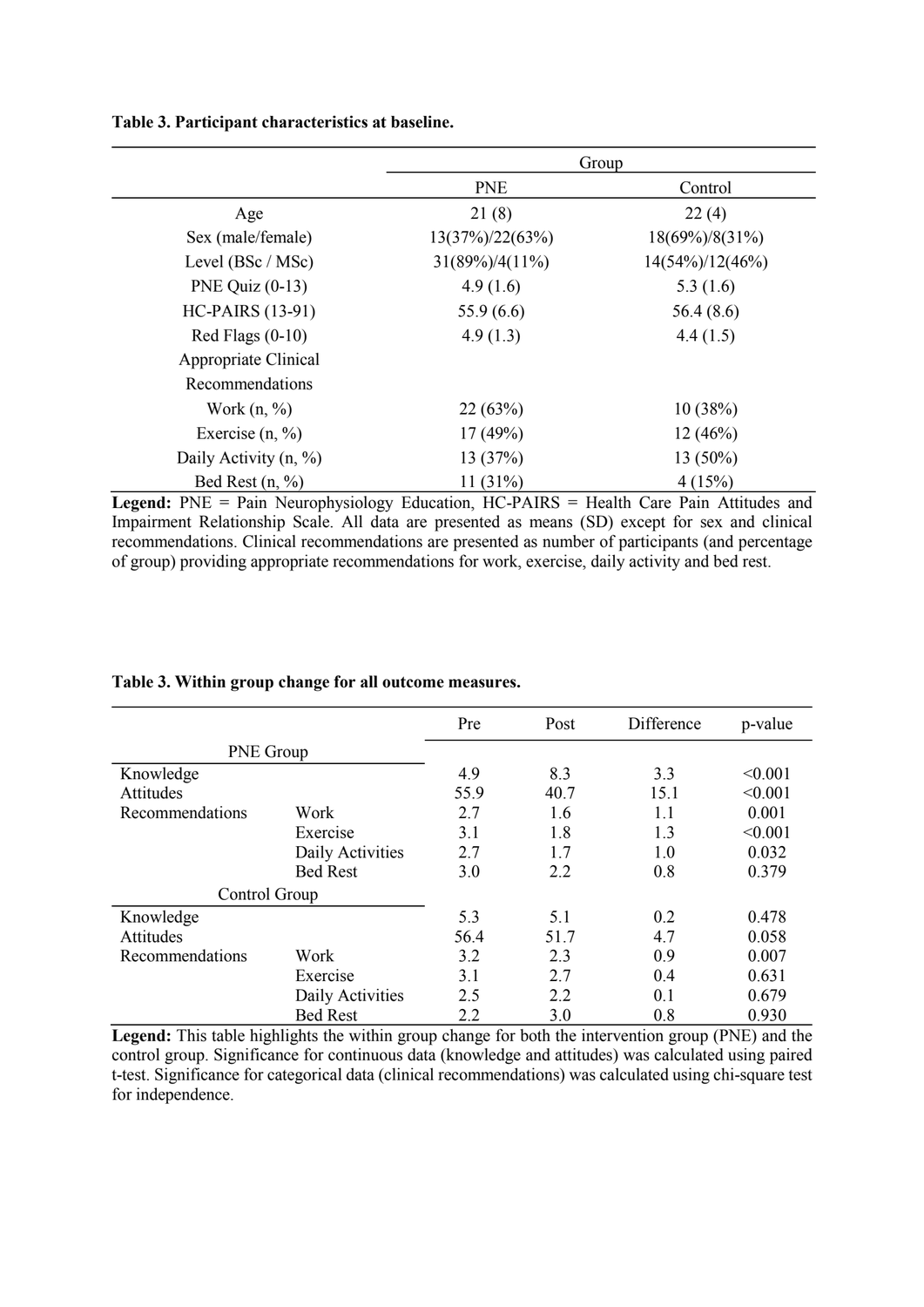**Table 3. Participant characteristics at baseline.**

|                         |                     | Group               |
|-------------------------|---------------------|---------------------|
|                         | <b>PNE</b>          | Control             |
| Age                     | 21(8)               | 22(4)               |
| Sex (male/female)       | $13(37\%)/22(63\%)$ | 18(69%)/8(31%)      |
| Level (BSc / MSc)       | $31(89\%)/4(11\%)$  | $14(54\%)/12(46\%)$ |
| PNE Quiz $(0-13)$       | 4.9(1.6)            | 5.3 $(1.6)$         |
| <b>HC-PAIRS (13-91)</b> | 55.9(6.6)           | 56.4(8.6)           |
| Red Flags $(0-10)$      | 4.9(1.3)            | 4.4(1.5)            |
| Appropriate Clinical    |                     |                     |
| Recommendations         |                     |                     |
| Work $(n, %)$           | 22(63%)             | 10(38%)             |
| Exercise $(n, %)$       | 17(49%)             | $12(46\%)$          |
| Daily Activity $(n, %)$ | 13(37%)             | $13(50\%)$          |
| Bed Rest $(n, %)$       | 11(31%)             | 4(15%)              |

Legend: PNE = Pain Neurophysiology Education, HC-PAIRS = Health Care Pain Attitudes and Impairment Relationship Scale. All data are presented as means (SD) except for sex and clinical recommendations. Clinical recommendations are presented as number of participants (and percentage of group) providing appropriate recommendations for work, exercise, daily activity and bed rest.

|                  |                  | Pre  | Post | Difference | p-value |
|------------------|------------------|------|------|------------|---------|
| <b>PNE</b> Group |                  |      |      |            |         |
| Knowledge        |                  | 4.9  | 8.3  | 3.3        | < 0.001 |
| Attitudes        |                  | 55.9 | 40.7 | 15.1       | < 0.001 |
| Recommendations  | Work             | 2.7  | 1.6  | 1.1        | 0.001   |
|                  | Exercise         | 3.1  | 1.8  | 1.3        | < 0.001 |
|                  | Daily Activities | 2.7  | 1.7  | 1.0        | 0.032   |
|                  | <b>Bed Rest</b>  | 3.0  | 2.2  | 0.8        | 0.379   |
| Control Group    |                  |      |      |            |         |
| Knowledge        |                  | 5.3  | 5.1  | 0.2        | 0.478   |
| Attitudes        |                  | 56.4 | 51.7 | 4.7        | 0.058   |
| Recommendations  | Work             | 3.2  | 2.3  | 0.9        | 0.007   |
|                  | Exercise         | 3.1  | 2.7  | 0.4        | 0.631   |
|                  | Daily Activities | 2.5  | 2.2  | 0.1        | 0.679   |
|                  | <b>Bed Rest</b>  | 2.2  | 3.0  | 0.8        | 0.930   |

#### **Table 3. Within group change for all outcome measures.**

**Legend:** This table highlights the within group change for both the intervention group (PNE) and the control group. Significance for continuous data (knowledge and attitudes) was calculated using paired t-test. Significance for categorical data (clinical recommendations) was calculated using chi-square test for independence.